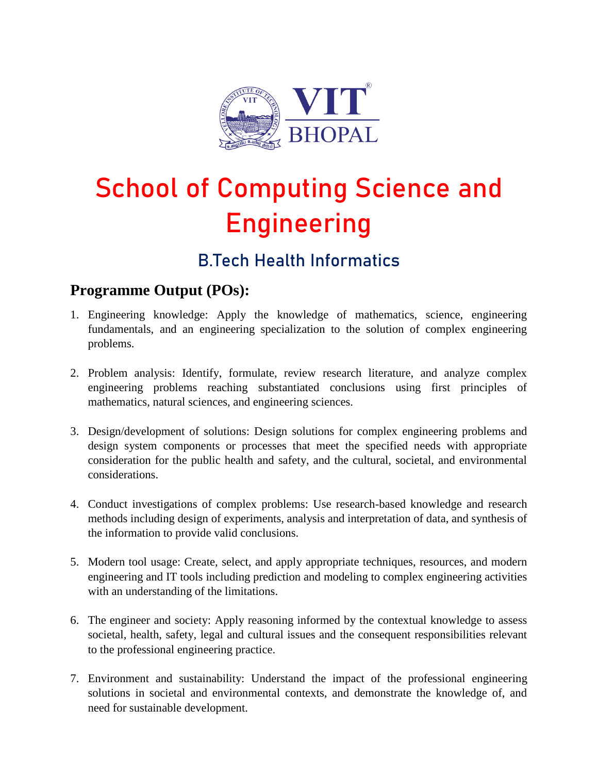

# **School of Computing Science and Engineering**

## **B.Tech Health Informatics**

#### **Programme Output (POs):**

- 1. Engineering knowledge: Apply the knowledge of mathematics, science, engineering fundamentals, and an engineering specialization to the solution of complex engineering problems.
- 2. Problem analysis: Identify, formulate, review research literature, and analyze complex engineering problems reaching substantiated conclusions using first principles of mathematics, natural sciences, and engineering sciences.
- 3. Design/development of solutions: Design solutions for complex engineering problems and design system components or processes that meet the specified needs with appropriate consideration for the public health and safety, and the cultural, societal, and environmental considerations.
- 4. Conduct investigations of complex problems: Use research-based knowledge and research methods including design of experiments, analysis and interpretation of data, and synthesis of the information to provide valid conclusions.
- 5. Modern tool usage: Create, select, and apply appropriate techniques, resources, and modern engineering and IT tools including prediction and modeling to complex engineering activities with an understanding of the limitations.
- 6. The engineer and society: Apply reasoning informed by the contextual knowledge to assess societal, health, safety, legal and cultural issues and the consequent responsibilities relevant to the professional engineering practice.
- 7. Environment and sustainability: Understand the impact of the professional engineering solutions in societal and environmental contexts, and demonstrate the knowledge of, and need for sustainable development.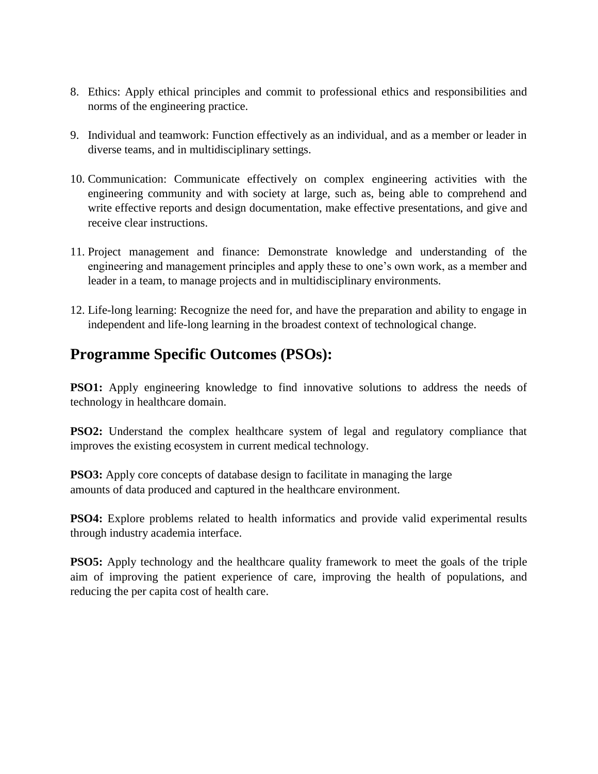- 8. Ethics: Apply ethical principles and commit to professional ethics and responsibilities and norms of the engineering practice.
- 9. Individual and teamwork: Function effectively as an individual, and as a member or leader in diverse teams, and in multidisciplinary settings.
- 10. Communication: Communicate effectively on complex engineering activities with the engineering community and with society at large, such as, being able to comprehend and write effective reports and design documentation, make effective presentations, and give and receive clear instructions.
- 11. Project management and finance: Demonstrate knowledge and understanding of the engineering and management principles and apply these to one's own work, as a member and leader in a team, to manage projects and in multidisciplinary environments.
- 12. Life-long learning: Recognize the need for, and have the preparation and ability to engage in independent and life-long learning in the broadest context of technological change.

#### **Programme Specific Outcomes (PSOs):**

**PSO1:** Apply engineering knowledge to find innovative solutions to address the needs of technology in healthcare domain.

**PSO2:** Understand the complex healthcare system of legal and regulatory compliance that improves the existing ecosystem in current medical technology.

**PSO3:** Apply core concepts of database design to facilitate in managing the large amounts of data produced and captured in the healthcare environment.

**PSO4:** Explore problems related to health informatics and provide valid experimental results through industry academia interface.

**PSO5:** Apply technology and the healthcare quality framework to meet the goals of the triple aim of improving the patient experience of care, improving the health of populations, and reducing the per capita cost of health care.